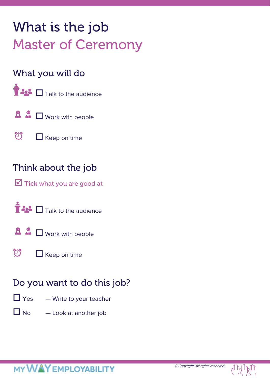# What is the job Master of Ceremony

### What you will do



- $\mathbf{A}$   $\mathbf{A}$   $\Box$  Work with people
- 仓  $\Box$  Keep on time

### Think about the job

 $\overline{\mathbf{M}}$  Tick what you are good at





 $\bigodot$  $\Box$  Keep on time

## Do you want to do this job?

- $\Box$  Yes  $-$  Write to your teacher
- $\Box$  No  $\Box$  Look at another job

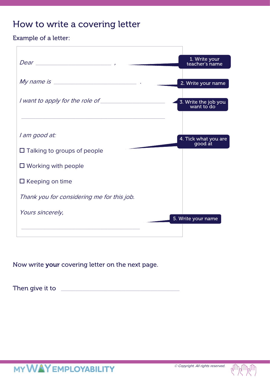### How to write a covering letter

Example of a letter:

|                                            | 1. Write your<br>teacher's name    |
|--------------------------------------------|------------------------------------|
|                                            |                                    |
|                                            | 2. Write your name                 |
|                                            | 3. Write the job you<br>want to do |
|                                            |                                    |
| l am good at:                              | 4. Tick what you are<br>good at    |
| $\Box$ Talking to groups of people         |                                    |
| $\Box$ Working with people                 |                                    |
| $\Box$ Keeping on time                     |                                    |
| Thank you for considering me for this job. |                                    |
| Yours sincerely,                           |                                    |
|                                            | 5. Write your name                 |
|                                            |                                    |

Now write your covering letter on the next page.

Then give it to \_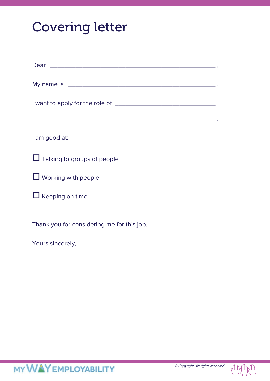# Covering letter

| Dear experience and a series of the contract of the contract of the contract of the contract of the contract of                                                                                                               |
|-------------------------------------------------------------------------------------------------------------------------------------------------------------------------------------------------------------------------------|
| My name is example and the state of the state of the state of the state of the state of the state of the state of the state of the state of the state of the state of the state of the state of the state of the state of the |
|                                                                                                                                                                                                                               |
| I am good at:                                                                                                                                                                                                                 |
| $\Box$ Talking to groups of people                                                                                                                                                                                            |
| $\Box$ Working with people                                                                                                                                                                                                    |
| $\Box$ Keeping on time                                                                                                                                                                                                        |
| Thank you for considering me for this job.                                                                                                                                                                                    |
| Yours sincerely,                                                                                                                                                                                                              |